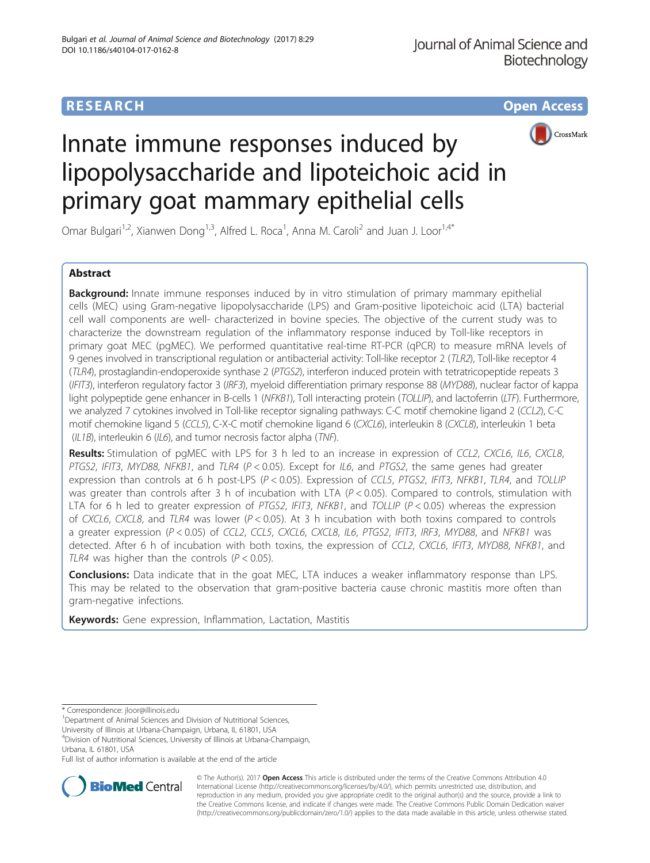## **RESEARCH CHE Open Access**



# Innate immune responses induced by lipopolysaccharide and lipoteichoic acid in primary goat mammary epithelial cells

Omar Bulgari<sup>1,2</sup>, Xianwen Dong<sup>1,3</sup>, Alfred L. Roca<sup>1</sup>, Anna M. Caroli<sup>2</sup> and Juan J. Loor<sup>1,4\*</sup>

## Abstract

**Background:** Innate immune responses induced by in vitro stimulation of primary mammary epithelial cells (MEC) using Gram-negative lipopolysaccharide (LPS) and Gram-positive lipoteichoic acid (LTA) bacterial cell wall components are well- characterized in bovine species. The objective of the current study was to characterize the downstream regulation of the inflammatory response induced by Toll-like receptors in primary goat MEC (pgMEC). We performed quantitative real-time RT-PCR (qPCR) to measure mRNA levels of 9 genes involved in transcriptional regulation or antibacterial activity: Toll-like receptor 2 (TLR2), Toll-like receptor 4 (TLR4), prostaglandin-endoperoxide synthase 2 (PTGS2), interferon induced protein with tetratricopeptide repeats 3 (IFIT3), interferon regulatory factor 3 (IRF3), myeloid differentiation primary response 88 (MYD88), nuclear factor of kappa light polypeptide gene enhancer in B-cells 1 (NFKB1), Toll interacting protein (TOLLIP), and lactoferrin (LTF). Furthermore, we analyzed 7 cytokines involved in Toll-like receptor signaling pathways: C-C motif chemokine ligand 2 (CCL2), C-C motif chemokine ligand 5 (CCL5), C-X-C motif chemokine ligand 6 (CXCL6), interleukin 8 (CXCL8), interleukin 1 beta (IL1B), interleukin 6 (IL6), and tumor necrosis factor alpha (TNF).

Results: Stimulation of pgMEC with LPS for 3 h led to an increase in expression of CCL2, CXCL6, IL6, CXCL8, PTGS2, IFIT3, MYD88, NFKB1, and TLR4 (P < 0.05). Except for IL6, and PTGS2, the same genes had greater expression than controls at 6 h post-LPS (P < 0.05). Expression of CCL5, PTGS2, IFIT3, NFKB1, TLR4, and TOLLIP was greater than controls after 3 h of incubation with LTA ( $P < 0.05$ ). Compared to controls, stimulation with LTA for 6 h led to greater expression of PTGS2, IFIT3, NFKB1, and TOLLIP ( $P < 0.05$ ) whereas the expression of CXCL6, CXCL8, and TLR4 was lower ( $P < 0.05$ ). At 3 h incubation with both toxins compared to controls a greater expression (P < 0.05) of CCL2, CCL5, CXCL6, CXCL8, IL6, PTGS2, IFIT3, IRF3, MYD88, and NFKB1 was detected. After 6 h of incubation with both toxins, the expression of CCL2, CXCL6, IFIT3, MYD88, NFKB1, and TLR4 was higher than the controls ( $P < 0.05$ ).

**Conclusions:** Data indicate that in the goat MEC, LTA induces a weaker inflammatory response than LPS. This may be related to the observation that gram-positive bacteria cause chronic mastitis more often than gram-negative infections.

Keywords: Gene expression, Inflammation, Lactation, Mastitis

4 Division of Nutritional Sciences, University of Illinois at Urbana-Champaign, Urbana, IL 61801, USA

Full list of author information is available at the end of the article



© The Author(s). 2017 **Open Access** This article is distributed under the terms of the Creative Commons Attribution 4.0 International License [\(http://creativecommons.org/licenses/by/4.0/](http://creativecommons.org/licenses/by/4.0/)), which permits unrestricted use, distribution, and reproduction in any medium, provided you give appropriate credit to the original author(s) and the source, provide a link to the Creative Commons license, and indicate if changes were made. The Creative Commons Public Domain Dedication waiver [\(http://creativecommons.org/publicdomain/zero/1.0/](http://creativecommons.org/publicdomain/zero/1.0/)) applies to the data made available in this article, unless otherwise stated.

<sup>\*</sup> Correspondence: [jloor@illinois.edu](mailto:jloor@illinois.edu) <sup>1</sup>

<sup>&</sup>lt;sup>1</sup>Department of Animal Sciences and Division of Nutritional Sciences,

University of Illinois at Urbana-Champaign, Urbana, IL 61801, USA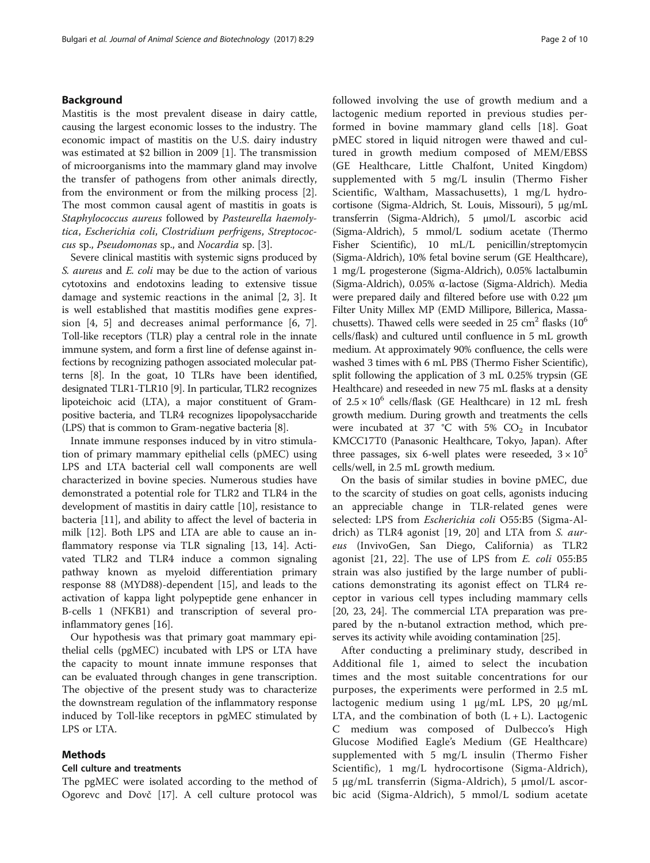## Background

Mastitis is the most prevalent disease in dairy cattle, causing the largest economic losses to the industry. The economic impact of mastitis on the U.S. dairy industry was estimated at \$2 billion in 2009 [\[1](#page-7-0)]. The transmission of microorganisms into the mammary gland may involve the transfer of pathogens from other animals directly, from the environment or from the milking process [\[2](#page-7-0)]. The most common causal agent of mastitis in goats is Staphylococcus aureus followed by Pasteurella haemolytica, Escherichia coli, Clostridium perfrigens, Streptococcus sp., Pseudomonas sp., and Nocardia sp. [\[3](#page-7-0)].

Severe clinical mastitis with systemic signs produced by S. aureus and E. coli may be due to the action of various cytotoxins and endotoxins leading to extensive tissue damage and systemic reactions in the animal [[2](#page-7-0), [3](#page-7-0)]. It is well established that mastitis modifies gene expression [\[4](#page-7-0), [5\]](#page-7-0) and decreases animal performance [[6, 7](#page-7-0)]. Toll-like receptors (TLR) play a central role in the innate immune system, and form a first line of defense against infections by recognizing pathogen associated molecular patterns [[8](#page-7-0)]. In the goat, 10 TLRs have been identified, designated TLR1-TLR10 [\[9](#page-7-0)]. In particular, TLR2 recognizes lipoteichoic acid (LTA), a major constituent of Grampositive bacteria, and TLR4 recognizes lipopolysaccharide (LPS) that is common to Gram-negative bacteria [\[8](#page-7-0)].

Innate immune responses induced by in vitro stimulation of primary mammary epithelial cells (pMEC) using LPS and LTA bacterial cell wall components are well characterized in bovine species. Numerous studies have demonstrated a potential role for TLR2 and TLR4 in the development of mastitis in dairy cattle [[10\]](#page-7-0), resistance to bacteria [\[11](#page-7-0)], and ability to affect the level of bacteria in milk [\[12](#page-8-0)]. Both LPS and LTA are able to cause an inflammatory response via TLR signaling [[13, 14\]](#page-8-0). Activated TLR2 and TLR4 induce a common signaling pathway known as myeloid differentiation primary response 88 (MYD88)-dependent [[15](#page-8-0)], and leads to the activation of kappa light polypeptide gene enhancer in B-cells 1 (NFKB1) and transcription of several proinflammatory genes [\[16](#page-8-0)].

Our hypothesis was that primary goat mammary epithelial cells (pgMEC) incubated with LPS or LTA have the capacity to mount innate immune responses that can be evaluated through changes in gene transcription. The objective of the present study was to characterize the downstream regulation of the inflammatory response induced by Toll-like receptors in pgMEC stimulated by LPS or LTA.

## Methods

## Cell culture and treatments

The pgMEC were isolated according to the method of Ogorevc and Dovč [[17](#page-8-0)]. A cell culture protocol was followed involving the use of growth medium and a lactogenic medium reported in previous studies performed in bovine mammary gland cells [\[18](#page-8-0)]. Goat pMEC stored in liquid nitrogen were thawed and cultured in growth medium composed of MEM/EBSS (GE Healthcare, Little Chalfont, United Kingdom) supplemented with 5 mg/L insulin (Thermo Fisher Scientific, Waltham, Massachusetts), 1 mg/L hydrocortisone (Sigma-Aldrich, St. Louis, Missouri), 5 μg/mL transferrin (Sigma-Aldrich), 5 μmol/L ascorbic acid (Sigma-Aldrich), 5 mmol/L sodium acetate (Thermo Fisher Scientific), 10 mL/L penicillin/streptomycin (Sigma-Aldrich), 10% fetal bovine serum (GE Healthcare), 1 mg/L progesterone (Sigma-Aldrich), 0.05% lactalbumin (Sigma-Aldrich), 0.05% α-lactose (Sigma-Aldrich). Media were prepared daily and filtered before use with 0.22 μm Filter Unity Millex MP (EMD Millipore, Billerica, Massachusetts). Thawed cells were seeded in 25 cm<sup>2</sup> flasks ( $10^6$ cells/flask) and cultured until confluence in 5 mL growth medium. At approximately 90% confluence, the cells were washed 3 times with 6 mL PBS (Thermo Fisher Scientific), split following the application of 3 mL 0.25% trypsin (GE Healthcare) and reseeded in new 75 mL flasks at a density of  $2.5 \times 10^6$  cells/flask (GE Healthcare) in 12 mL fresh growth medium. During growth and treatments the cells were incubated at 37 °C with 5%  $CO<sub>2</sub>$  in Incubator KMCC17T0 (Panasonic Healthcare, Tokyo, Japan). After three passages, six 6-well plates were reseeded,  $3 \times 10^5$ cells/well, in 2.5 mL growth medium.

On the basis of similar studies in bovine pMEC, due to the scarcity of studies on goat cells, agonists inducing an appreciable change in TLR-related genes were selected: LPS from Escherichia coli O55:B5 (Sigma-Al-drich) as TLR4 agonist [\[19](#page-8-0), [20\]](#page-8-0) and LTA from S. aureus (InvivoGen, San Diego, California) as TLR2 agonist [[21, 22\]](#page-8-0). The use of LPS from E. coli 055:B5 strain was also justified by the large number of publications demonstrating its agonist effect on TLR4 receptor in various cell types including mammary cells [[20](#page-8-0), [23](#page-8-0), [24\]](#page-8-0). The commercial LTA preparation was prepared by the n-butanol extraction method, which preserves its activity while avoiding contamination [[25](#page-8-0)].

After conducting a preliminary study, described in Additional file [1,](#page-7-0) aimed to select the incubation times and the most suitable concentrations for our purposes, the experiments were performed in 2.5 mL lactogenic medium using 1 μg/mL LPS, 20 μg/mL LTA, and the combination of both  $(L + L)$ . Lactogenic C medium was composed of Dulbecco's High Glucose Modified Eagle's Medium (GE Healthcare) supplemented with 5 mg/L insulin (Thermo Fisher Scientific), 1 mg/L hydrocortisone (Sigma-Aldrich), 5 μg/mL transferrin (Sigma-Aldrich), 5 μmol/L ascorbic acid (Sigma-Aldrich), 5 mmol/L sodium acetate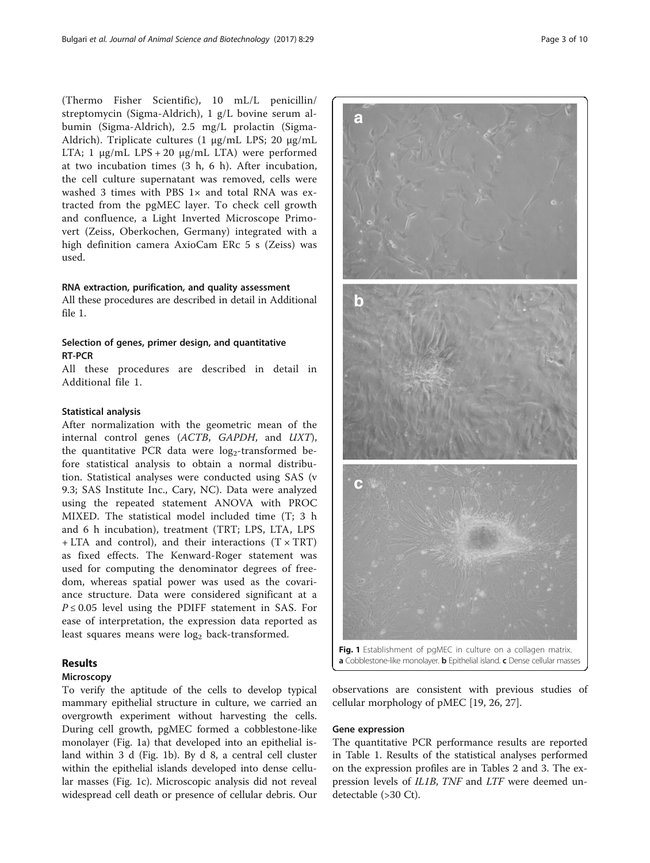(Thermo Fisher Scientific), 10 mL/L penicillin/ streptomycin (Sigma-Aldrich), 1 g/L bovine serum albumin (Sigma-Aldrich), 2.5 mg/L prolactin (Sigma-Aldrich). Triplicate cultures (1 μg/mL LPS; 20 μg/mL LTA; 1 μg/mL LPS + 20 μg/mL LTA) were performed at two incubation times (3 h, 6 h). After incubation, the cell culture supernatant was removed, cells were washed 3 times with PBS 1× and total RNA was extracted from the pgMEC layer. To check cell growth and confluence, a Light Inverted Microscope Primovert (Zeiss, Oberkochen, Germany) integrated with a high definition camera AxioCam ERc 5 s (Zeiss) was used.

### RNA extraction, purification, and quality assessment

All these procedures are described in detail in Additional file [1.](#page-7-0)

## Selection of genes, primer design, and quantitative RT-PCR

All these procedures are described in detail in Additional file [1.](#page-7-0)

## Statistical analysis

After normalization with the geometric mean of the internal control genes (ACTB, GAPDH, and UXT), the quantitative PCR data were  $log_2$ -transformed before statistical analysis to obtain a normal distribution. Statistical analyses were conducted using SAS (v 9.3; SAS Institute Inc., Cary, NC). Data were analyzed using the repeated statement ANOVA with PROC MIXED. The statistical model included time (T; 3 h and 6 h incubation), treatment (TRT; LPS, LTA, LPS + LTA and control), and their interactions  $(T \times TRT)$ as fixed effects. The Kenward-Roger statement was used for computing the denominator degrees of freedom, whereas spatial power was used as the covariance structure. Data were considered significant at a  $P \le 0.05$  level using the PDIFF statement in SAS. For ease of interpretation, the expression data reported as least squares means were  $log<sub>2</sub>$  back-transformed.

## Results

## Microscopy

To verify the aptitude of the cells to develop typical mammary epithelial structure in culture, we carried an overgrowth experiment without harvesting the cells. During cell growth, pgMEC formed a cobblestone-like monolayer (Fig. 1a) that developed into an epithelial island within 3 d (Fig. 1b). By d 8, a central cell cluster within the epithelial islands developed into dense cellular masses (Fig. 1c). Microscopic analysis did not reveal widespread cell death or presence of cellular debris. Our



observations are consistent with previous studies of cellular morphology of pMEC [\[19](#page-8-0), [26](#page-8-0), [27\]](#page-8-0).

## Gene expression

The quantitative PCR performance results are reported in Table [1.](#page-3-0) Results of the statistical analyses performed on the expression profiles are in Tables [2](#page-3-0) and [3](#page-4-0). The expression levels of IL1B, TNF and LTF were deemed undetectable (>30 Ct).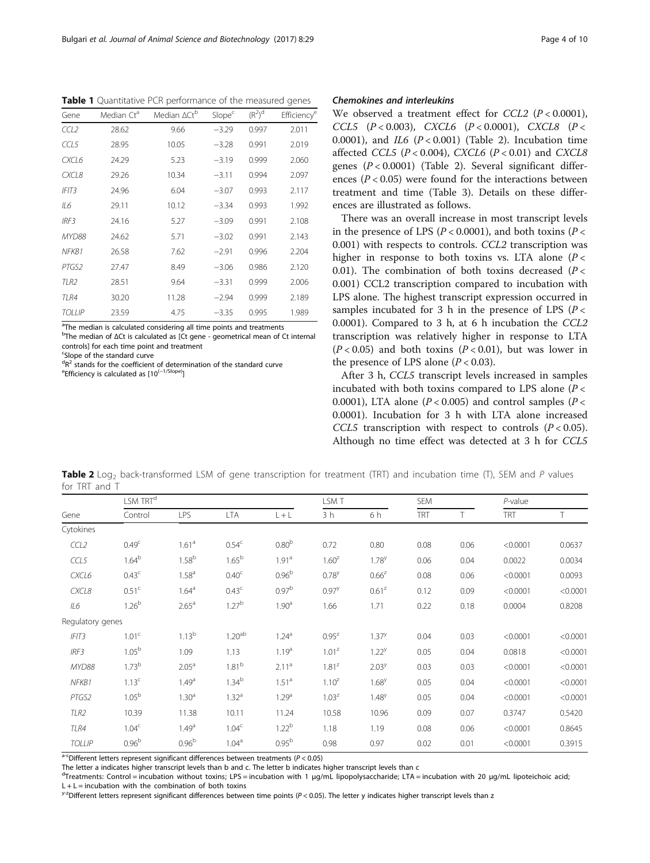TOLLIP 23.59 4.75 −3.35 0.995 1.989 <sup>a</sup>The median is calculated considering all time points and treatments b The median of ΔCt is calculated as [Ct gene - geometrical mean of Ct internal

controls] for each time point and treatment

<sup>c</sup>Slope of the standard curve

 ${}^{d}R^2$  stands for the coefficient of determination of the standard curve<br>
Efficiency is calculated as  $110^{(-1/5\text{lope})}$ <sup>e</sup>Efficiency is calculated as [10<sup>(-1/Slope)</sup>]

We observed a treatment effect for CCL2  $(P < 0.0001)$ , CCL5  $(P < 0.003)$ , CXCL6  $(P < 0.0001)$ , CXCL8  $(P <$ 0.0001), and *IL6*  $(P < 0.001)$  (Table 2). Incubation time affected CCL5 ( $P < 0.004$ ), CXCL6 ( $P < 0.01$ ) and CXCL8 genes  $(P < 0.0001)$  (Table 2). Several significant differences ( $P < 0.05$ ) were found for the interactions between treatment and time (Table [3](#page-4-0)). Details on these differences are illustrated as follows.

There was an overall increase in most transcript levels in the presence of LPS ( $P < 0.0001$ ), and both toxins ( $P <$ 0.001) with respects to controls. CCL2 transcription was higher in response to both toxins vs. LTA alone  $(P <$ 0.01). The combination of both toxins decreased ( $P <$ 0.001) CCL2 transcription compared to incubation with LPS alone. The highest transcript expression occurred in samples incubated for 3 h in the presence of LPS ( $P$  < 0.0001). Compared to 3 h, at 6 h incubation the CCL2 transcription was relatively higher in response to LTA  $(P < 0.05)$  and both toxins  $(P < 0.01)$ , but was lower in the presence of LPS alone  $(P < 0.03)$ .

After 3 h, CCL5 transcript levels increased in samples incubated with both toxins compared to LPS alone  $(P <$ 0.0001), LTA alone ( $P < 0.005$ ) and control samples ( $P <$ 0.0001). Incubation for 3 h with LTA alone increased CCL5 transcription with respect to controls  $(P < 0.05)$ . Although no time effect was detected at 3 h for CCL5

Table 2 Log<sub>2</sub> back-transformed LSM of gene transcription for treatment (TRT) and incubation time (T), SEM and P values for TRT and T

| Gene             | LSM TRT <sup>d</sup> |                   |                    |                   | LSM T               |                   | <b>SEM</b> |      | $P$ -value |          |
|------------------|----------------------|-------------------|--------------------|-------------------|---------------------|-------------------|------------|------|------------|----------|
|                  | Control              | <b>LPS</b>        | LTA                | $L + L$           | 3 h                 | 6 h               | <b>TRT</b> | T    | <b>TRT</b> | Τ        |
| Cytokines        |                      |                   |                    |                   |                     |                   |            |      |            |          |
| CCL <sub>2</sub> | 0.49 <sup>c</sup>    | 1.61 <sup>a</sup> | 0.54 <sup>c</sup>  | 0.80 <sup>b</sup> | 0.72                | 0.80              | 0.08       | 0.06 | < 0.0001   | 0.0637   |
| CCL5             | $1.64^{b}$           | 1.58 <sup>b</sup> | 1.65 <sup>b</sup>  | 1.91 <sup>a</sup> | $1.60^2$            | 1.78 <sup>y</sup> | 0.06       | 0.04 | 0.0022     | 0.0034   |
| CXCL6            | 0.43 <sup>c</sup>    | 1.58 <sup>a</sup> | 0.40 <sup>c</sup>  | 0.96 <sup>b</sup> | $0.78$ <sup>y</sup> | $0.66^z$          | 0.08       | 0.06 | < 0.0001   | 0.0093   |
| CXCL8            | 0.51 <sup>c</sup>    | $1.64^{a}$        | 0.43 <sup>c</sup>  | 0.97 <sup>b</sup> | $0.97$ <sup>y</sup> | $0.61^{z}$        | 0.12       | 0.09 | < 0.0001   | < 0.0001 |
| IL6              | $1.26^{b}$           | 2.65 <sup>a</sup> | $1.27^{b}$         | 1.90 <sup>a</sup> | 1.66                | 1.71              | 0.22       | 0.18 | 0.0004     | 0.8208   |
| Regulatory genes |                      |                   |                    |                   |                     |                   |            |      |            |          |
| IFIT3            | 1.01 <sup>c</sup>    | $1.13^{b}$        | 1.20 <sup>ab</sup> | 1.24 <sup>a</sup> | $0.95^{z}$          | 1.37 <sup>y</sup> | 0.04       | 0.03 | < 0.0001   | < 0.0001 |
| IRF3             | 1.05 <sup>b</sup>    | 1.09              | 1.13               | 1.19 <sup>a</sup> | $1.01^z$            | $1.22^{y}$        | 0.05       | 0.04 | 0.0818     | < 0.0001 |
| MYD88            | $1.73^{b}$           | 2.05 <sup>a</sup> | 1.81 <sup>b</sup>  | 2.11 <sup>a</sup> | $1.81^z$            | 2.03 <sup>y</sup> | 0.03       | 0.03 | < 0.0001   | < 0.0001 |
| NFKB1            | 1.13 <sup>c</sup>    | 1.49 <sup>a</sup> | $1.34^{b}$         | 1.51 <sup>a</sup> | $1.10^{z}$          | $1.68^y$          | 0.05       | 0.04 | < 0.0001   | < 0.0001 |
| PTGS2            | $1.05^{b}$           | 1.30 <sup>a</sup> | 1.32 <sup>a</sup>  | 1.29 <sup>a</sup> | $1.03^{z}$          | 1.48 <sup>y</sup> | 0.05       | 0.04 | < 0.0001   | < 0.0001 |
| TLR2             | 10.39                | 11.38             | 10.11              | 11.24             | 10.58               | 10.96             | 0.09       | 0.07 | 0.3747     | 0.5420   |
| TLR4             | 1.04 <sup>c</sup>    | 1.49 <sup>a</sup> | 1.04 <sup>c</sup>  | 1.22 <sup>b</sup> | 1.18                | 1.19              | 0.08       | 0.06 | < 0.0001   | 0.8645   |
| <b>TOLLIP</b>    | 0.96 <sup>b</sup>    | 0.96 <sup>b</sup> | 1.04 <sup>a</sup>  | 0.95 <sup>b</sup> | 0.98                | 0.97              | 0.02       | 0.01 | < 0.0001   | 0.3915   |

 $a$ -CDifferent letters represent significant differences between treatments ( $P < 0.05$ )

The letter a indicates higher transcript levels than b and c. The letter b indicates higher transcript levels than c

<sup>d</sup>Treatments: Control = incubation without toxins; LPS = incubation with 1 μg/mL lipopolysaccharide; LTA = incubation with 20 μg/mL lipoteichoic acid;  $L + L =$  incubation with the combination of both toxins

 $y$ <sup>-z</sup>Different letters represent significant differences between time points (P < 0.05). The letter y indicates higher transcript levels than z

<span id="page-3-0"></span>Table 1 Quantitative PCR performance of the measured genes

CCL2 28.62 9.66 −3.29 0.997 2.011 CCL5 28.95 10.05 −3.28 0.991 2.019 CXCL6 24.29 5.23 −3.19 0.999 2.060 CXCL8 29.26 10.34 −3.11 0.994 2.097 IFIT3 24.96 6.04 −3.07 0.993 2.117 IL6 29.11 10.12 −3.34 0.993 1.992 IRF3 24.16 5.27 −3.09 0.991 2.108 MYD88 24.62 5.71 −3.02 0.991 2.143 NFKB1 26.58 7.62 −2.91 0.996 2.204 PTGS2 27.47 8.49 −3.06 0.986 2.120 TLR2 28.51 9.64 −3.31 0.999 2.006 TLR4 30.20 11.28 −2.94 0.999 2.189

 $(R<sup>2</sup>)<sup>d</sup>$ 

Efficiency<sup>6</sup>

Gene Median Ct<sup>a</sup> Median ΔCt<sup>b</sup> Slope<sup>c</sup>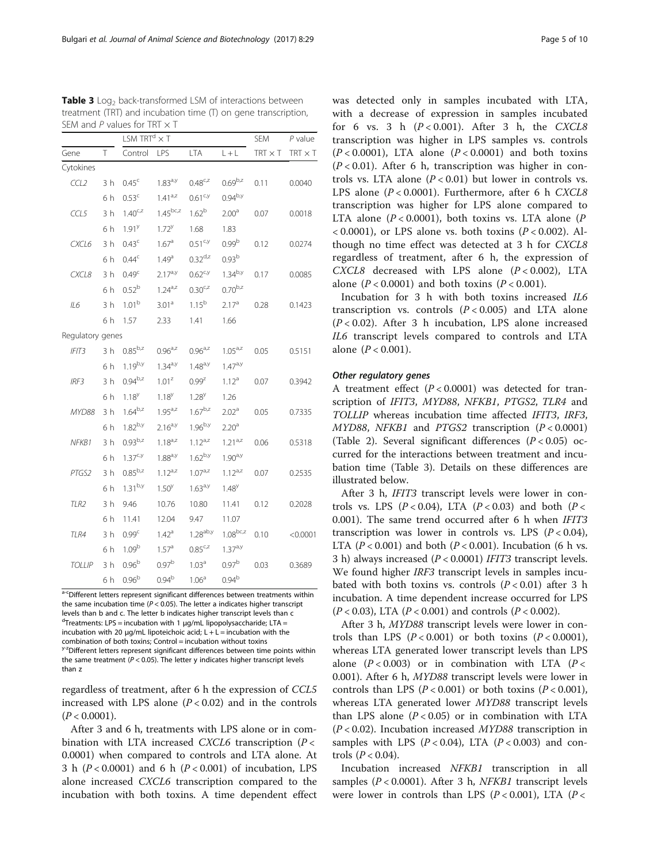<span id="page-4-0"></span>

| <b>Table 3</b> Log <sub>2</sub> back-transformed LSM of interactions between |
|------------------------------------------------------------------------------|
| treatment (TRT) and incubation time $(T)$ on gene transcription,             |
| SEM and P values for TRT $\times$ T                                          |

|                  |                | $LSM$ TRT <sup>d</sup> $\times$ T |                   | <b>SEM</b>            | $P$ value         |                |                |
|------------------|----------------|-----------------------------------|-------------------|-----------------------|-------------------|----------------|----------------|
| Gene             | T              | Control                           | LPS               | <b>LTA</b>            | $L + L$           | $TRT \times T$ | $TRT \times T$ |
| Cytokines        |                |                                   |                   |                       |                   |                |                |
| CCL <sub>2</sub> | 3 <sub>h</sub> | $0.45^{\circ}$                    | $1.83^{a,y}$      | $0.48^{c,z}$          | $0.69^{b,z}$      | 0.11           | 0.0040         |
|                  | 6 h            | 0.53 <sup>c</sup>                 | $1.41^{a,z}$      | $0.61^{c,y}$          | $0.94^{b,y}$      |                |                |
| CCL5             | 3h             | $1.40^{c,z}$                      | $1.45^{bc,z}$     | 1.62 <sup>b</sup>     | 2.00 <sup>a</sup> | 0.07           | 0.0018         |
|                  | 6 h            | 1.91 <sup>y</sup>                 | 1.72 <sup>y</sup> | 1.68                  | 1.83              |                |                |
| CXCL6            | 3h             | 0.43 <sup>c</sup>                 | 1.67 <sup>a</sup> | $0.51$ <sup>c,y</sup> | 0.99 <sup>b</sup> | 0.12           | 0.0274         |
|                  | 6 h            | 0.44 <sup>c</sup>                 | $1.49^{\circ}$    | $0.32^{d,z}$          | 0.93 <sup>b</sup> |                |                |
| CXCL8            | 3h             | 0.49 <sup>c</sup>                 | $2.17^{a,y}$      | $0.62^{c,y}$          | $1.34^{b,y}$      | 0.17           | 0.0085         |
|                  | 6 h            | 0.52 <sup>b</sup>                 | $1.24^{a,z}$      | $0.30^{\mathrm{c,z}}$ | $0.70^{b,z}$      |                |                |
| IL6              | 3 <sub>h</sub> | $1.01^{b}$                        | 3.01 <sup>a</sup> | $1.15^{b}$            | 2.17 <sup>a</sup> | 0.28           | 0.1423         |
|                  | 6 h            | 1.57                              | 2.33              | 1.41                  | 1.66              |                |                |
| Regulatory genes |                |                                   |                   |                       |                   |                |                |
| IFIT3            | 3 <sub>h</sub> | $0.85^{b,z}$                      | $0.96^{a,z}$      | $0.96^{a,z}$          | $1.05^{a,z}$      | 0.05           | 0.5151         |
|                  | 6 h            | $1.19^{b,y}$                      | $1.34^{a,y}$      | $1.48^{a,y}$          | $1.47^{a,y}$      |                |                |
| IRF <sub>3</sub> | 3 <sub>h</sub> | $0.94^{b,z}$                      | $1.01^{z}$        | $0.99^{2}$            | $1.12^a$          | 0.07           | 0.3942         |
|                  | 6 h            | $1.18^{y}$                        | 1.18 <sup>y</sup> | $1.28^y$              | 1.26              |                |                |
| MYD88            | 3 <sub>h</sub> | $1.64^{b,z}$                      | $1.95^{a,z}$      | $1.67^{b,z}$          | 2.02 <sup>a</sup> | 0.05           | 0.7335         |
|                  | 6 h            | $1.82^{b,y}$                      | $2.16^{a,y}$      | $1.96^{b,y}$          | 2.20 <sup>a</sup> |                |                |
| NFKB1            | 3 h            | $0.93^{b,z}$                      | $1.18^{a,z}$      | $1.12^{a,z}$          | $1.21^{a,z}$      | 0.06           | 0.5318         |
|                  | 6 h            | $1.37^{c,y}$                      | $1.88^{a,y}$      | $1.62^{b,y}$          | $1.90^{a,y}$      |                |                |
| PTGS2            | 3 h            | $0.85^{b,z}$                      | $1.12^{a,z}$      | $1.07^{a,z}$          | $1.12^{a,z}$      | 0.07           | 0.2535         |
|                  | 6 h            | $1.31^{b,y}$                      | 1.50 <sup>y</sup> | $1.63^{a,y}$          | 1.48 <sup>y</sup> |                |                |
| TLR <sub>2</sub> | 3h             | 9.46                              | 10.76             | 10.80                 | 11.41             | 0.12           | 0.2028         |
|                  | 6 h            | 11.41                             | 12.04             | 9.47                  | 11.07             |                |                |
| TLR4             | 3 <sub>h</sub> | 0.99 <sup>c</sup>                 | $1.42^{\circ}$    | $1.28^{ab,y}$         | $1.08^{bc,z}$     | 0.10           | < 0.0001       |
|                  | 6 h            | 1.09 <sup>b</sup>                 | 1.57 <sup>a</sup> | $0.85^{c,z}$          | $1.37^{a,y}$      |                |                |
| TOLLIP           | 3 <sub>h</sub> | 0.96 <sup>b</sup>                 | 0.97 <sup>b</sup> | 1.03 <sup>a</sup>     | 0.97 <sup>b</sup> | 0.03           | 0.3689         |
|                  | 6 h            | 0.96 <sup>b</sup>                 | $0.94^b$          | 1.06 <sup>a</sup>     | $0.94^b$          |                |                |

a-cDifferent letters represent significant differences between treatments within the same incubation time ( $P < 0.05$ ). The letter a indicates higher transcript levels than b and c. The letter b indicates higher transcript levels than c <sup>d</sup>Treatments: LPS = incubation with 1 μg/mL lipopolysaccharide; LTA = incubation with 20  $\mu$ g/mL lipoteichoic acid; L + L = incubation with the combination of both toxins; Control = incubation without toxins  $\mathscr{C}^2$ Different letters represent significant differences between time points within the same treatment ( $P < 0.05$ ). The letter y indicates higher transcript levels than z

regardless of treatment, after 6 h the expression of CCL5 increased with LPS alone  $(P < 0.02)$  and in the controls  $(P < 0.0001)$ .

After 3 and 6 h, treatments with LPS alone or in combination with LTA increased CXCL6 transcription ( $P <$ 0.0001) when compared to controls and LTA alone. At 3 h ( $P < 0.0001$ ) and 6 h ( $P < 0.001$ ) of incubation, LPS alone increased CXCL6 transcription compared to the incubation with both toxins. A time dependent effect was detected only in samples incubated with LTA, with a decrease of expression in samples incubated for 6 vs. 3 h  $(P < 0.001)$ . After 3 h, the CXCL8 transcription was higher in LPS samples vs. controls  $(P < 0.0001)$ , LTA alone  $(P < 0.0001)$  and both toxins  $(P<0.01)$ . After 6 h, transcription was higher in controls vs. LTA alone  $(P < 0.01)$  but lower in controls vs. LPS alone  $(P < 0.0001)$ . Furthermore, after 6 h CXCL8 transcription was higher for LPS alone compared to LTA alone  $(P < 0.0001)$ , both toxins vs. LTA alone  $(P$  $< 0.0001$ ), or LPS alone vs. both toxins ( $P < 0.002$ ). Although no time effect was detected at 3 h for CXCL8 regardless of treatment, after 6 h, the expression of CXCL8 decreased with LPS alone  $(P < 0.002)$ , LTA alone ( $P < 0.0001$ ) and both toxins ( $P < 0.001$ ).

Incubation for 3 h with both toxins increased IL6 transcription vs. controls  $(P < 0.005)$  and LTA alone  $(P < 0.02)$ . After 3 h incubation, LPS alone increased IL6 transcript levels compared to controls and LTA alone  $(P < 0.001)$ .

## Other regulatory genes

A treatment effect  $(P < 0.0001)$  was detected for transcription of IFIT3, MYD88, NFKB1, PTGS2, TLR4 and TOLLIP whereas incubation time affected IFIT3, IRF3,  $MYD88$ , NFKB1 and PTGS2 transcription (P < 0.0001) (Table [2](#page-3-0)). Several significant differences  $(P < 0.05)$  occurred for the interactions between treatment and incubation time (Table 3). Details on these differences are illustrated below.

After 3 h, IFIT3 transcript levels were lower in controls vs. LPS  $(P < 0.04)$ , LTA  $(P < 0.03)$  and both  $(P < 0.04)$ 0.001). The same trend occurred after 6 h when IFIT3 transcription was lower in controls vs. LPS  $(P < 0.04)$ , LTA ( $P < 0.001$ ) and both ( $P < 0.001$ ). Incubation (6 h vs. 3 h) always increased  $(P < 0.0001)$  IFIT3 transcript levels. We found higher *IRF3* transcript levels in samples incubated with both toxins vs. controls  $(P < 0.01)$  after 3 h incubation. A time dependent increase occurred for LPS  $(P < 0.03)$ , LTA  $(P < 0.001)$  and controls  $(P < 0.002)$ .

After 3 h, MYD88 transcript levels were lower in controls than LPS  $(P < 0.001)$  or both toxins  $(P < 0.0001)$ , whereas LTA generated lower transcript levels than LPS alone ( $P < 0.003$ ) or in combination with LTA ( $P <$ 0.001). After 6 h, MYD88 transcript levels were lower in controls than LPS ( $P < 0.001$ ) or both toxins ( $P < 0.001$ ), whereas LTA generated lower MYD88 transcript levels than LPS alone  $(P < 0.05)$  or in combination with LTA  $(P<0.02)$ . Incubation increased *MYD88* transcription in samples with LPS  $(P < 0.04)$ , LTA  $(P < 0.003)$  and controls  $(P < 0.04)$ .

Incubation increased NFKB1 transcription in all samples ( $P < 0.0001$ ). After 3 h, *NFKB1* transcript levels were lower in controls than LPS ( $P < 0.001$ ), LTA ( $P <$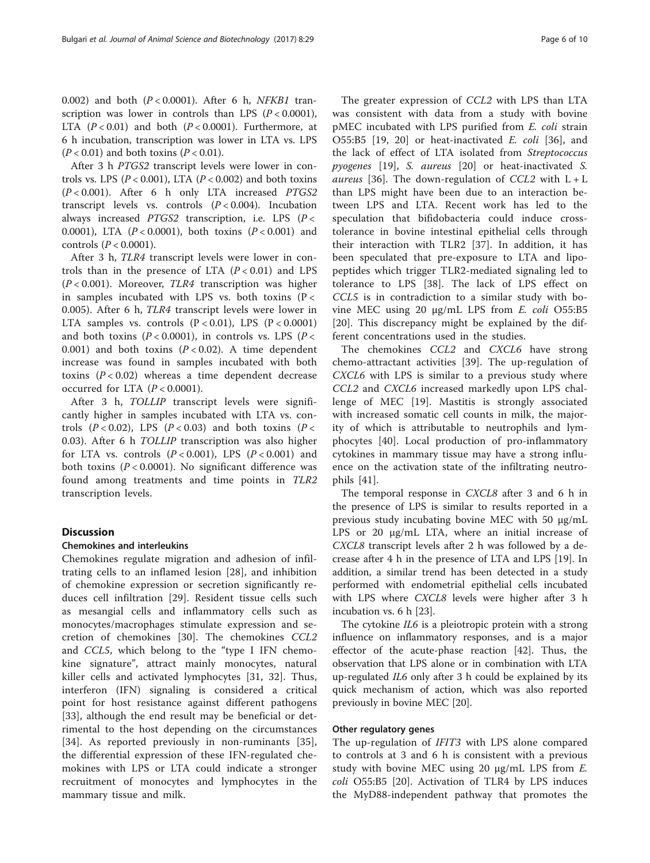0.002) and both  $(P < 0.0001)$ . After 6 h, NFKB1 transcription was lower in controls than LPS  $(P < 0.0001)$ , LTA  $(P < 0.01)$  and both  $(P < 0.0001)$ . Furthermore, at 6 h incubation, transcription was lower in LTA vs. LPS  $(P < 0.01)$  and both toxins  $(P < 0.01)$ .

After 3 h PTGS2 transcript levels were lower in controls vs. LPS ( $P < 0.001$ ), LTA ( $P < 0.002$ ) and both toxins  $(P < 0.001)$ . After 6 h only LTA increased PTGS2 transcript levels vs. controls  $(P < 0.004)$ . Incubation always increased  $PTGS2$  transcription, i.e. LPS ( $P <$ 0.0001), LTA  $(P < 0.0001)$ , both toxins  $(P < 0.001)$  and controls  $(P < 0.0001)$ .

After 3 h, TLR4 transcript levels were lower in controls than in the presence of LTA  $(P < 0.01)$  and LPS  $(P<0.001)$ . Moreover, TLR4 transcription was higher in samples incubated with LPS vs. both toxins (P < 0.005). After 6 h, TLR4 transcript levels were lower in LTA samples vs. controls  $(P < 0.01)$ , LPS  $(P < 0.0001)$ and both toxins  $(P < 0.0001)$ , in controls vs. LPS  $(P < 0.0001)$ 0.001) and both toxins  $(P < 0.02)$ . A time dependent increase was found in samples incubated with both toxins  $(P < 0.02)$  whereas a time dependent decrease occurred for LTA  $(P < 0.0001)$ .

After 3 h, TOLLIP transcript levels were significantly higher in samples incubated with LTA vs. controls  $(P < 0.02)$ , LPS  $(P < 0.03)$  and both toxins  $(P < 0.02)$ 0.03). After 6 h TOLLIP transcription was also higher for LTA vs. controls  $(P < 0.001)$ , LPS  $(P < 0.001)$  and both toxins  $(P < 0.0001)$ . No significant difference was found among treatments and time points in TLR2 transcription levels.

## **Discussion**

## Chemokines and interleukins

Chemokines regulate migration and adhesion of infiltrating cells to an inflamed lesion [[28\]](#page-8-0), and inhibition of chemokine expression or secretion significantly reduces cell infiltration [[29\]](#page-8-0). Resident tissue cells such as mesangial cells and inflammatory cells such as monocytes/macrophages stimulate expression and secretion of chemokines [\[30](#page-8-0)]. The chemokines CCL2 and CCL5, which belong to the "type I IFN chemokine signature", attract mainly monocytes, natural killer cells and activated lymphocytes [[31, 32](#page-8-0)]. Thus, interferon (IFN) signaling is considered a critical point for host resistance against different pathogens [[33\]](#page-8-0), although the end result may be beneficial or detrimental to the host depending on the circumstances [[34\]](#page-8-0). As reported previously in non-ruminants [[35](#page-8-0)], the differential expression of these IFN-regulated chemokines with LPS or LTA could indicate a stronger recruitment of monocytes and lymphocytes in the mammary tissue and milk.

The greater expression of CCL2 with LPS than LTA was consistent with data from a study with bovine pMEC incubated with LPS purified from E. coli strain O55:B5 [\[19](#page-8-0), [20\]](#page-8-0) or heat-inactivated E. coli [[36\]](#page-8-0), and the lack of effect of LTA isolated from Streptococcus pyogenes [\[19](#page-8-0)], S. aureus [[20\]](#page-8-0) or heat-inactivated S. aureus [\[36](#page-8-0)]. The down-regulation of CCL2 with  $L + L$ than LPS might have been due to an interaction between LPS and LTA. Recent work has led to the speculation that bifidobacteria could induce crosstolerance in bovine intestinal epithelial cells through their interaction with TLR2 [[37\]](#page-8-0). In addition, it has been speculated that pre-exposure to LTA and lipopeptides which trigger TLR2-mediated signaling led to tolerance to LPS [\[38](#page-8-0)]. The lack of LPS effect on CCL5 is in contradiction to a similar study with bovine MEC using 20 μg/mL LPS from E. coli O55:B5 [[20\]](#page-8-0). This discrepancy might be explained by the different concentrations used in the studies.

The chemokines CCL2 and CXCL6 have strong chemo-attractant activities [[39](#page-8-0)]. The up-regulation of CXCL6 with LPS is similar to a previous study where CCL2 and CXCL6 increased markedly upon LPS challenge of MEC [\[19](#page-8-0)]. Mastitis is strongly associated with increased somatic cell counts in milk, the majority of which is attributable to neutrophils and lymphocytes [[40](#page-8-0)]. Local production of pro-inflammatory cytokines in mammary tissue may have a strong influence on the activation state of the infiltrating neutrophils [[41\]](#page-8-0).

The temporal response in CXCL8 after 3 and 6 h in the presence of LPS is similar to results reported in a previous study incubating bovine MEC with 50 μg/mL LPS or 20 μg/mL LTA, where an initial increase of CXCL8 transcript levels after 2 h was followed by a decrease after 4 h in the presence of LTA and LPS [\[19](#page-8-0)]. In addition, a similar trend has been detected in a study performed with endometrial epithelial cells incubated with LPS where CXCL8 levels were higher after 3 h incubation vs. 6 h [[23\]](#page-8-0).

The cytokine *IL6* is a pleiotropic protein with a strong influence on inflammatory responses, and is a major effector of the acute-phase reaction [\[42\]](#page-8-0). Thus, the observation that LPS alone or in combination with LTA up-regulated IL6 only after 3 h could be explained by its quick mechanism of action, which was also reported previously in bovine MEC [[20](#page-8-0)].

## Other regulatory genes

The up-regulation of IFIT3 with LPS alone compared to controls at 3 and 6 h is consistent with a previous study with bovine MEC using 20  $\mu$ g/mL LPS from E. coli O55:B5 [[20\]](#page-8-0). Activation of TLR4 by LPS induces the MyD88-independent pathway that promotes the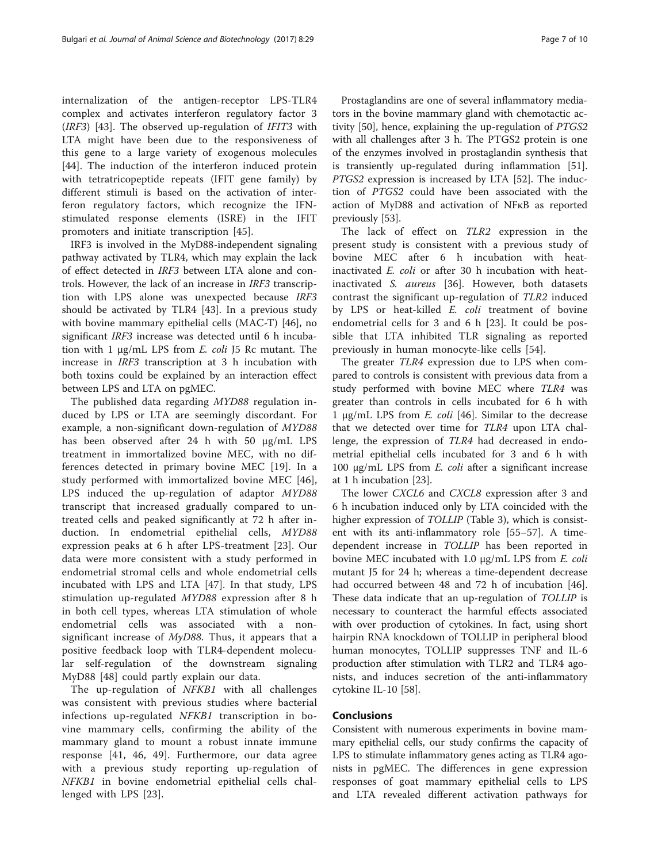internalization of the antigen-receptor LPS-TLR4 complex and activates interferon regulatory factor 3 (IRF3) [\[43](#page-8-0)]. The observed up-regulation of IFIT3 with LTA might have been due to the responsiveness of this gene to a large variety of exogenous molecules [[44\]](#page-8-0). The induction of the interferon induced protein with tetratricopeptide repeats (IFIT gene family) by different stimuli is based on the activation of interferon regulatory factors, which recognize the IFNstimulated response elements (ISRE) in the IFIT promoters and initiate transcription [[45\]](#page-8-0).

IRF3 is involved in the MyD88-independent signaling pathway activated by TLR4, which may explain the lack of effect detected in IRF3 between LTA alone and controls. However, the lack of an increase in IRF3 transcription with LPS alone was unexpected because IRF3 should be activated by TLR4 [[43\]](#page-8-0). In a previous study with bovine mammary epithelial cells (MAC-T) [\[46](#page-8-0)], no significant IRF3 increase was detected until 6 h incubation with 1 μg/mL LPS from  $E$ . coli J5 Rc mutant. The increase in IRF3 transcription at 3 h incubation with both toxins could be explained by an interaction effect between LPS and LTA on pgMEC.

The published data regarding MYD88 regulation induced by LPS or LTA are seemingly discordant. For example, a non-significant down-regulation of MYD88 has been observed after 24 h with 50 μg/mL LPS treatment in immortalized bovine MEC, with no differences detected in primary bovine MEC [\[19](#page-8-0)]. In a study performed with immortalized bovine MEC [\[46](#page-8-0)], LPS induced the up-regulation of adaptor MYD88 transcript that increased gradually compared to untreated cells and peaked significantly at 72 h after induction. In endometrial epithelial cells, MYD88 expression peaks at 6 h after LPS-treatment [[23](#page-8-0)]. Our data were more consistent with a study performed in endometrial stromal cells and whole endometrial cells incubated with LPS and LTA [[47\]](#page-8-0). In that study, LPS stimulation up-regulated MYD88 expression after 8 h in both cell types, whereas LTA stimulation of whole endometrial cells was associated with a nonsignificant increase of MyD88. Thus, it appears that a positive feedback loop with TLR4-dependent molecular self-regulation of the downstream signaling MyD88 [[48\]](#page-8-0) could partly explain our data.

The up-regulation of NFKB1 with all challenges was consistent with previous studies where bacterial infections up-regulated NFKB1 transcription in bovine mammary cells, confirming the ability of the mammary gland to mount a robust innate immune response [[41](#page-8-0), [46, 49](#page-8-0)]. Furthermore, our data agree with a previous study reporting up-regulation of NFKB1 in bovine endometrial epithelial cells challenged with LPS [\[23](#page-8-0)].

Prostaglandins are one of several inflammatory mediators in the bovine mammary gland with chemotactic activity [\[50](#page-8-0)], hence, explaining the up-regulation of PTGS2 with all challenges after 3 h. The PTGS2 protein is one of the enzymes involved in prostaglandin synthesis that is transiently up-regulated during inflammation [\[51](#page-8-0)]. PTGS2 expression is increased by LTA [[52](#page-8-0)]. The induction of PTGS2 could have been associated with the action of MyD88 and activation of NFκB as reported previously [\[53](#page-8-0)].

The lack of effect on TLR2 expression in the present study is consistent with a previous study of bovine MEC after 6 h incubation with heatinactivated  $E<sub>c</sub>$  coli or after 30 h incubation with heatinactivated S. aureus [[36](#page-8-0)]. However, both datasets contrast the significant up-regulation of TLR2 induced by LPS or heat-killed E. coli treatment of bovine endometrial cells for 3 and 6 h [[23\]](#page-8-0). It could be possible that LTA inhibited TLR signaling as reported previously in human monocyte-like cells [[54\]](#page-8-0).

The greater TLR4 expression due to LPS when compared to controls is consistent with previous data from a study performed with bovine MEC where TLR4 was greater than controls in cells incubated for 6 h with 1 μg/mL LPS from  $E.$  coli [\[46\]](#page-8-0). Similar to the decrease that we detected over time for TLR4 upon LTA challenge, the expression of TLR4 had decreased in endometrial epithelial cells incubated for 3 and 6 h with 100 μg/mL LPS from  $E$ . coli after a significant increase at 1 h incubation [[23\]](#page-8-0).

The lower CXCL6 and CXCL8 expression after 3 and 6 h incubation induced only by LTA coincided with the higher expression of TOLLIP (Table [3](#page-4-0)), which is consistent with its anti-inflammatory role [\[55](#page-9-0)–[57\]](#page-9-0). A timedependent increase in TOLLIP has been reported in bovine MEC incubated with 1.0 μg/mL LPS from E. coli mutant J5 for 24 h; whereas a time-dependent decrease had occurred between 48 and 72 h of incubation [\[46](#page-8-0)]. These data indicate that an up-regulation of TOLLIP is necessary to counteract the harmful effects associated with over production of cytokines. In fact, using short hairpin RNA knockdown of TOLLIP in peripheral blood human monocytes, TOLLIP suppresses TNF and IL-6 production after stimulation with TLR2 and TLR4 agonists, and induces secretion of the anti-inflammatory cytokine IL-10 [\[58](#page-9-0)].

## Conclusions

Consistent with numerous experiments in bovine mammary epithelial cells, our study confirms the capacity of LPS to stimulate inflammatory genes acting as TLR4 agonists in pgMEC. The differences in gene expression responses of goat mammary epithelial cells to LPS and LTA revealed different activation pathways for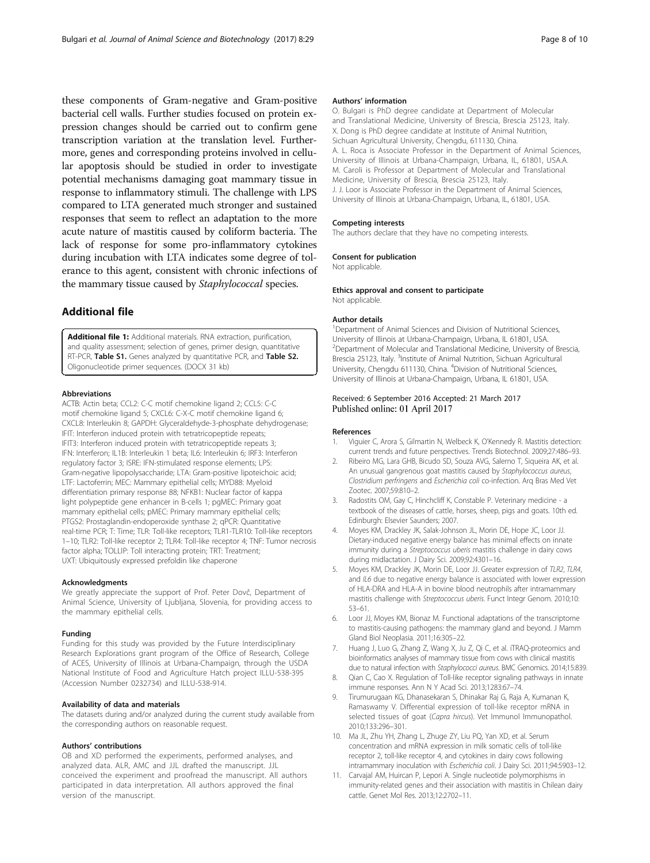<span id="page-7-0"></span>these components of Gram-negative and Gram-positive bacterial cell walls. Further studies focused on protein expression changes should be carried out to confirm gene transcription variation at the translation level. Furthermore, genes and corresponding proteins involved in cellular apoptosis should be studied in order to investigate potential mechanisms damaging goat mammary tissue in response to inflammatory stimuli. The challenge with LPS compared to LTA generated much stronger and sustained responses that seem to reflect an adaptation to the more acute nature of mastitis caused by coliform bacteria. The lack of response for some pro-inflammatory cytokines during incubation with LTA indicates some degree of tolerance to this agent, consistent with chronic infections of the mammary tissue caused by Staphylococcal species.

## Additional file

[Additional file 1:](dx.doi.org/10.1186/s40104-017-0162-8) Additional materials. RNA extraction, purification, and quality assessment; selection of genes, primer design, quantitative RT-PCR, Table S1. Genes analyzed by quantitative PCR, and Table S2. Oligonucleotide primer sequences. (DOCX 31 kb)

#### Abbreviations

ACTB: Actin beta; CCL2: C-C motif chemokine ligand 2; CCL5: C-C motif chemokine ligand 5; CXCL6: C-X-C motif chemokine ligand 6; CXCL8: Interleukin 8; GAPDH: Glyceraldehyde-3-phosphate dehydrogenase; IFIT: Interferon induced protein with tetratricopeptide repeats; IFIT3: Interferon induced protein with tetratricopeptide repeats 3; IFN: Interferon; IL1B: Interleukin 1 beta; IL6: Interleukin 6; IRF3: Interferon regulatory factor 3; ISRE: IFN-stimulated response elements; LPS: Gram-negative lipopolysaccharide; LTA: Gram-positive lipoteichoic acid; LTF: Lactoferrin; MEC: Mammary epithelial cells; MYD88: Myeloid differentiation primary response 88; NFKB1: Nuclear factor of kappa light polypeptide gene enhancer in B-cells 1; pgMEC: Primary goat mammary epithelial cells; pMEC: Primary mammary epithelial cells; PTGS2: Prostaglandin-endoperoxide synthase 2; qPCR: Quantitative real-time PCR; T: Time; TLR: Toll-like receptors; TLR1-TLR10: Toll-like receptors 1–10; TLR2: Toll-like receptor 2; TLR4: Toll-like receptor 4; TNF: Tumor necrosis factor alpha; TOLLIP: Toll interacting protein; TRT: Treatment; UXT: Ubiquitously expressed prefoldin like chaperone

#### Acknowledgments

We greatly appreciate the support of Prof. Peter Dovč, Department of Animal Science, University of Ljubljana, Slovenia, for providing access to the mammary epithelial cells.

## Funding

Funding for this study was provided by the Future Interdisciplinary Research Explorations grant program of the Office of Research, College of ACES, University of Illinois at Urbana-Champaign, through the USDA National Institute of Food and Agriculture Hatch project ILLU-538-395 (Accession Number 0232734) and ILLU-538-914.

### Availability of data and materials

The datasets during and/or analyzed during the current study available from the corresponding authors on reasonable request.

#### Authors' contributions

OB and XD performed the experiments, performed analyses, and analyzed data. ALR, AMC and JJL drafted the manuscript. JJL conceived the experiment and proofread the manuscript. All authors participated in data interpretation. All authors approved the final version of the manuscript.

#### Authors' information

O. Bulgari is PhD degree candidate at Department of Molecular and Translational Medicine, University of Brescia, Brescia 25123, Italy. X. Dong is PhD degree candidate at Institute of Animal Nutrition, Sichuan Agricultural University, Chengdu, 611130, China. A. L. Roca is Associate Professor in the Department of Animal Sciences, University of Illinois at Urbana-Champaign, Urbana, IL, 61801, USA.A. M. Caroli is Professor at Department of Molecular and Translational Medicine, University of Brescia, Brescia 25123, Italy. J. J. Loor is Associate Professor in the Department of Animal Sciences, University of Illinois at Urbana-Champaign, Urbana, IL, 61801, USA.

#### Competing interests

The authors declare that they have no competing interests.

#### Consent for publication

Not applicable.

#### Ethics approval and consent to participate Not applicable.

#### Author details

<sup>1</sup>Department of Animal Sciences and Division of Nutritional Sciences, University of Illinois at Urbana-Champaign, Urbana, IL 61801, USA. <sup>2</sup> Department of Molecular and Translational Medicine, University of Brescia, Brescia 25123, Italy. <sup>3</sup>Institute of Animal Nutrition, Sichuan Agricultural University, Chengdu 611130, China. <sup>4</sup>Division of Nutritional Sciences University of Illinois at Urbana-Champaign, Urbana, IL 61801, USA.

## Received: 6 September 2016 Accepted: 21 March 2017 Published online: 01 April 2017

#### References

- 1. Viguier C, Arora S, Gilmartin N, Welbeck K, O'Kennedy R. Mastitis detection: current trends and future perspectives. Trends Biotechnol. 2009;27:486–93.
- 2. Ribeiro MG, Lara GHB, Bicudo SD, Souza AVG, Salerno T, Siqueira AK, et al. An unusual gangrenous goat mastitis caused by Staphylococcus aureus, Clostridium perfringens and Escherichia coli co-infection. Arq Bras Med Vet Zootec. 2007;59:810–2.
- Radostits OM, Gay C, Hinchcliff K, Constable P. Veterinary medicine a textbook of the diseases of cattle, horses, sheep, pigs and goats. 10th ed. Edinburgh: Elsevier Saunders; 2007.
- 4. Moyes KM, Drackley JK, Salak-Johnson JL, Morin DE, Hope JC, Loor JJ. Dietary-induced negative energy balance has minimal effects on innate immunity during a Streptococcus uberis mastitis challenge in dairy cows during midlactation. J Dairy Sci. 2009;92:4301–16.
- 5. Moyes KM, Drackley JK, Morin DE, Loor JJ. Greater expression of TLR2, TLR4, and IL6 due to negative energy balance is associated with lower expression of HLA-DRA and HLA-A in bovine blood neutrophils after intramammary mastitis challenge with Streptococcus uberis. Funct Integr Genom. 2010;10: 53–61.
- 6. Loor JJ, Moyes KM, Bionaz M. Functional adaptations of the transcriptome to mastitis-causing pathogens: the mammary gland and beyond. J Mamm Gland Biol Neoplasia. 2011;16:305–22.
- 7. Huang J, Luo G, Zhang Z, Wang X, Ju Z, Qi C, et al. iTRAQ-proteomics and bioinformatics analyses of mammary tissue from cows with clinical mastitis due to natural infection with Staphylococci aureus. BMC Genomics. 2014;15:839.
- 8. Qian C, Cao X. Regulation of Toll-like receptor signaling pathways in innate immune responses. Ann N Y Acad Sci. 2013;1283:67–74.
- 9. Tirumurugaan KG, Dhanasekaran S, Dhinakar Raj G, Raja A, Kumanan K, Ramaswamy V. Differential expression of toll-like receptor mRNA in selected tissues of goat (Capra hircus). Vet Immunol Immunopathol. 2010;133:296–301.
- 10. Ma JL, Zhu YH, Zhang L, Zhuge ZY, Liu PQ, Yan XD, et al. Serum concentration and mRNA expression in milk somatic cells of toll-like receptor 2, toll-like receptor 4, and cytokines in dairy cows following intramammary inoculation with Escherichia coli. J Dairy Sci. 2011;94:5903–12.
- 11. Carvajal AM, Huircan P, Lepori A. Single nucleotide polymorphisms in immunity-related genes and their association with mastitis in Chilean dairy cattle. Genet Mol Res. 2013;12:2702–11.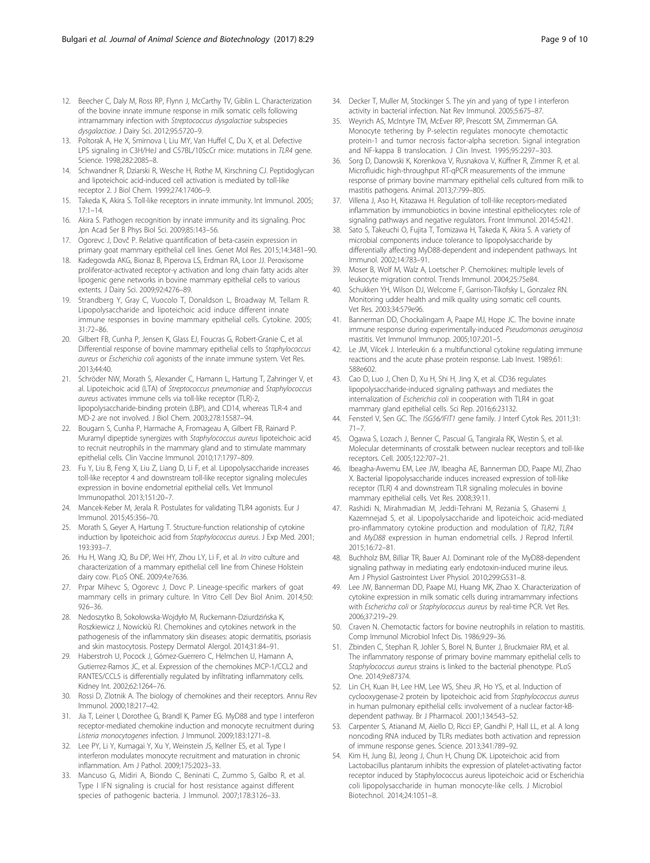- <span id="page-8-0"></span>12. Beecher C, Daly M, Ross RP, Flynn J, McCarthy TV, Giblin L. Characterization of the bovine innate immune response in milk somatic cells following intramammary infection with Streptococcus dysgalactiae subspecies dysgalactiae. J Dairy Sci. 2012;95:5720–9.
- 13. Poltorak A, He X, Smirnova I, Liu MY, Van Huffel C, Du X, et al. Defective LPS signaling in C3H/HeJ and C57BL/10ScCr mice: mutations in TLR4 gene. Science. 1998;282:2085–8.
- 14. Schwandner R, Dziarski R, Wesche H, Rothe M, Kirschning CJ. Peptidoglycan and lipoteichoic acid-induced cell activation is mediated by toll-like receptor 2. J Biol Chem. 1999;274:17406–9.
- 15. Takeda K, Akira S. Toll-like receptors in innate immunity. Int Immunol. 2005; 17:1–14.
- 16. Akira S. Pathogen recognition by innate immunity and its signaling. Proc Jpn Acad Ser B Phys Biol Sci. 2009;85:143–56.
- 17. Ogorevc J, Dovč P. Relative quantification of beta-casein expression in primary goat mammary epithelial cell lines. Genet Mol Res. 2015;14:3481–90.
- 18. Kadegowda AKG, Bionaz B, Piperova LS, Erdman RA, Loor JJ. Peroxisome proliferator-activated receptor-γ activation and long chain fatty acids alter lipogenic gene networks in bovine mammary epithelial cells to various extents. J Dairy Sci. 2009;92:4276–89.
- 19. Strandberg Y, Gray C, Vuocolo T, Donaldson L, Broadway M, Tellam R. Lipopolysaccharide and lipoteichoic acid induce different innate immune responses in bovine mammary epithelial cells. Cytokine. 2005; 31:72–86.
- 20. Gilbert FB, Cunha P, Jensen K, Glass EJ, Foucras G, Robert-Granie C, et al. Differential response of bovine mammary epithelial cells to Staphylococcus aureus or Escherichia coli agonists of the innate immune system. Vet Res. 2013;44:40.
- 21. Schröder NW, Morath S, Alexander C, Hamann L, Hartung T, Zahringer V, et al. Lipoteichoic acid (LTA) of Streptococcus pneumoniae and Staphylococcus aureus activates immune cells via toll-like receptor (TLR)-2, lipopolysaccharide-binding protein (LBP), and CD14, whereas TLR-4 and MD-2 are not involved. J Biol Chem. 2003;278:15587–94.
- 22. Bougarn S, Cunha P, Harmache A, Fromageau A, Gilbert FB, Rainard P. Muramyl dipeptide synergizes with Staphylococcus aureus lipoteichoic acid to recruit neutrophils in the mammary gland and to stimulate mammary epithelial cells. Clin Vaccine Immunol. 2010;17:1797–809.
- 23. Fu Y, Liu B, Feng X, Liu Z, Liang D, Li F, et al. Lipopolysaccharide increases toll-like receptor 4 and downstream toll-like receptor signaling molecules expression in bovine endometrial epithelial cells. Vet Immunol Immunopathol. 2013;151:20–7.
- 24. Mancek-Keber M, Jerala R. Postulates for validating TLR4 agonists. Eur J Immunol. 2015;45:356–70.
- 25. Morath S, Geyer A, Hartung T. Structure-function relationship of cytokine induction by lipoteichoic acid from Staphylococcus aureus. J Exp Med. 2001; 193:393–7.
- 26. Hu H, Wang JQ, Bu DP, Wei HY, Zhou LY, Li F, et al. In vitro culture and characterization of a mammary epithelial cell line from Chinese Holstein dairy cow. PLoS ONE. 2009;4:e7636.
- 27. Prpar Mihevc S, Ogorevc J, Dovc P. Lineage-specific markers of goat mammary cells in primary culture. In Vitro Cell Dev Biol Anim. 2014;50: 926–36.
- 28. Nedoszytko B, Sokołowska-Wojdyło M, Ruckemann-Dziurdzińska K, Roszkiewicz J, Nowickiù RJ. Chemokines and cytokines network in the pathogenesis of the inflammatory skin diseases: atopic dermatitis, psoriasis and skin mastocytosis. Postepy Dermatol Alergol. 2014;31:84–91.
- 29. Haberstroh U, Pocock J, Gómez-Guerrero C, Helmchen U, Hamann A, Gutierrez-Ramos JC, et al. Expression of the chemokines MCP-1/CCL2 and RANTES/CCL5 is differentially regulated by infiltrating inflammatory cells. Kidney Int. 2002;62:1264–76.
- 30. Rossi D, Zlotnik A. The biology of chemokines and their receptors. Annu Rev Immunol. 2000;18:217–42.
- 31. Jia T, Leiner I, Dorothee G, Brandl K, Pamer EG. MyD88 and type I interferon receptor-mediated chemokine induction and monocyte recruitment during Listeria monocytogenes infection. J Immunol. 2009;183:1271–8.
- 32. Lee PY, Li Y, Kumagai Y, Xu Y, Weinstein JS, Kellner ES, et al. Type I interferon modulates monocyte recruitment and maturation in chronic inflammation. Am J Pathol. 2009;175:2023–33.
- 33. Mancuso G, Midiri A, Biondo C, Beninati C, Zummo S, Galbo R, et al. Type I IFN signaling is crucial for host resistance against different species of pathogenic bacteria. J Immunol. 2007;178:3126–33.
- 34. Decker T, Muller M, Stockinger S. The yin and yang of type I interferon activity in bacterial infection. Nat Rev Immunol. 2005;5:675–87.
- 35. Weyrich AS, McIntyre TM, McEver RP, Prescott SM, Zimmerman GA. Monocyte tethering by P-selectin regulates monocyte chemotactic protein-1 and tumor necrosis factor-alpha secretion. Signal integration and NF-kappa B translocation. J Clin Invest. 1995;95:2297–303.
- 36. Sorg D, Danowski K, Korenkova V, Rusnakova V, Küffner R, Zimmer R, et al. Microfluidic high-throughput RT-qPCR measurements of the immune response of primary bovine mammary epithelial cells cultured from milk to mastitis pathogens. Animal. 2013;7:799–805.
- 37. Villena J, Aso H, Kitazawa H. Regulation of toll-like receptors-mediated inflammation by immunobiotics in bovine intestinal epitheliocytes: role of signaling pathways and negative regulators. Front Immunol. 2014;5:421.
- 38. Sato S, Takeuchi O, Fujita T, Tomizawa H, Takeda K, Akira S. A variety of microbial components induce tolerance to lipopolysaccharide by differentially affecting MyD88-dependent and independent pathways. Int Immunol. 2002;14:783–91.
- 39. Moser B, Wolf M, Walz A, Loetscher P. Chemokines: multiple levels of leukocyte migration control. Trends Immunol. 2004;25:75e84.
- 40. Schukken YH, Wilson DJ, Welcome F, Garrison-Tikofsky L, Gonzalez RN. Monitoring udder health and milk quality using somatic cell counts. Vet Res. 2003;34:579e96.
- 41. Bannerman DD, Chockalingam A, Paape MJ, Hope JC. The bovine innate immune response during experimentally-induced Pseudomonas aeruginosa mastitis. Vet Immunol Immunop. 2005;107:201–5.
- 42. Le JM, Vilcek J. Interleukin 6: a multifunctional cytokine regulating immune reactions and the acute phase protein response. Lab Invest. 1989;61: 588e602.
- 43. Cao D, Luo J, Chen D, Xu H, Shi H, Jing X, et al. CD36 regulates lipopolysaccharide-induced signaling pathways and mediates the internalization of Escherichia coli in cooperation with TLR4 in goat mammary gland epithelial cells. Sci Rep. 2016;6:23132.
- 44. Fensterl V, Sen GC. The ISG56/IFIT1 gene family. J Interf Cytok Res. 2011;31: 71–7.
- 45. Ogawa S, Lozach J, Benner C, Pascual G, Tangirala RK, Westin S, et al. Molecular determinants of crosstalk between nuclear receptors and toll-like receptors. Cell. 2005;122:707–21.
- 46. Ibeagha-Awemu EM, Lee JW, Ibeagha AE, Bannerman DD, Paape MJ, Zhao X. Bacterial lipopolysaccharide induces increased expression of toll-like receptor (TLR) 4 and downstream TLR signaling molecules in bovine mammary epithelial cells. Vet Res. 2008;39:11.
- 47. Rashidi N, Mirahmadian M, Jeddi-Tehrani M, Rezania S, Ghasemi J, Kazemnejad S, et al. Lipopolysaccharide and lipoteichoic acid-mediated pro-inflammatory cytokine production and modulation of TLR2, TLR4 and MyD88 expression in human endometrial cells. J Reprod Infertil. 2015;16:72–81.
- 48. Buchholz BM, Billiar TR, Bauer AJ. Dominant role of the MyD88-dependent signaling pathway in mediating early endotoxin-induced murine ileus. Am J Physiol Gastrointest Liver Physiol. 2010;299:G531–8.
- 49. Lee JW, Bannerman DD, Paape MJ, Huang MK, Zhao X. Characterization of cytokine expression in milk somatic cells during intramammary infections with Eschericha coli or Staphylococcus aureus by real-time PCR. Vet Res. 2006;37:219–29.
- 50. Craven N. Chemotactic factors for bovine neutrophils in relation to mastitis. Comp Immunol Microbiol Infect Dis. 1986;9:29–36.
- 51. Zbinden C, Stephan R, Johler S, Borel N, Bunter J, Bruckmaier RM, et al. The inflammatory response of primary bovine mammary epithelial cells to Staphylococcus aureus strains is linked to the bacterial phenotype. PLoS One. 2014;9:e87374.
- 52. Lin CH, Kuan IH, Lee HM, Lee WS, Sheu JR, Ho YS, et al. Induction of cyclooxygenase-2 protein by lipoteichoic acid from Staphylococcus aureus in human pulmonary epithelial cells: involvement of a nuclear factor-kBdependent pathway. Br J Pharmacol. 2001;134:543–52.
- 53. Carpenter S, Atianand M, Aiello D, Ricci EP, Gandhi P, Hall LL, et al. A long noncoding RNA induced by TLRs mediates both activation and repression of immune response genes. Science. 2013;341:789–92.
- 54. Kim H, Jung BJ, Jeong J, Chun H, Chung DK. Lipoteichoic acid from Lactobacillus plantarum inhibits the expression of platelet-activating factor receptor induced by Staphylococcus aureus lipoteichoic acid or Escherichia coli lipopolysaccharide in human monocyte-like cells. J Microbiol Biotechnol. 2014;24:1051–8.